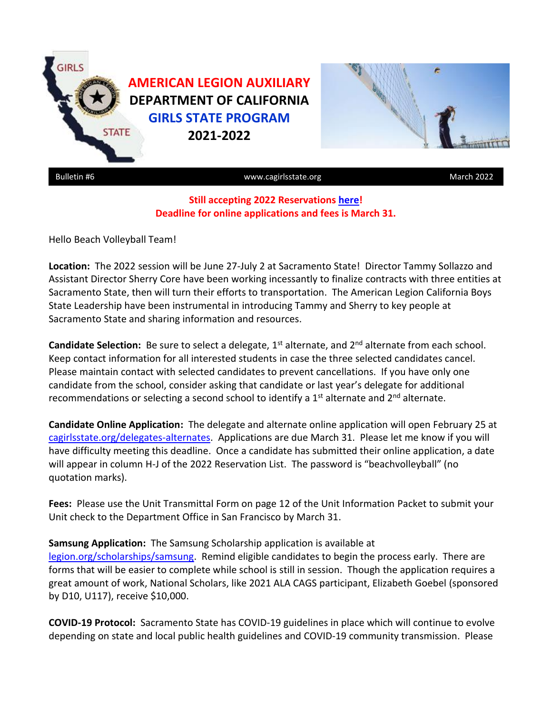

## **Still accepting 2022 Reservations [here!](https://forms.gle/Dj76Wm6bNJ563jg1A) Deadline for online applications and fees is March 31.**

Hello Beach Volleyball Team!

**Location:** The 2022 session will be June 27-July 2 at Sacramento State! Director Tammy Sollazzo and Assistant Director Sherry Core have been working incessantly to finalize contracts with three entities at Sacramento State, then will turn their efforts to transportation. The American Legion California Boys State Leadership have been instrumental in introducing Tammy and Sherry to key people at Sacramento State and sharing information and resources.

Candidate Selection: Be sure to select a delegate, 1<sup>st</sup> alternate, and 2<sup>nd</sup> alternate from each school. Keep contact information for all interested students in case the three selected candidates cancel. Please maintain contact with selected candidates to prevent cancellations. If you have only one candidate from the school, consider asking that candidate or last year's delegate for additional recommendations or selecting a second school to identify a  $1<sup>st</sup>$  alternate and  $2<sup>nd</sup>$  alternate.

**Candidate Online Application:** The delegate and alternate online application will open February 25 at [cagirlsstate.org/delegates-alternates.](https://www.cagirlsstate.org/delegates-alternates) Applications are due March 31. Please let me know if you will have difficulty meeting this deadline. Once a candidate has submitted their online application, a date will appear in column H-J of the 2022 Reservation List. The password is "beachvolleyball" (no quotation marks).

**Fees:** Please use the Unit Transmittal Form on page 12 of the Unit Information Packet to submit your Unit check to the Department Office in San Francisco by March 31.

**Samsung Application:** The Samsung Scholarship application is available at [legion.org/scholarships/samsung.](https://www.legion.org/scholarships/samsung) Remind eligible candidates to begin the process early. There are forms that will be easier to complete while school is still in session. Though the application requires a great amount of work, National Scholars, like 2021 ALA CAGS participant, Elizabeth Goebel (sponsored by D10, U117), receive \$10,000.

**COVID-19 Protocol:** Sacramento State has COVID-19 guidelines in place which will continue to evolve depending on state and local public health guidelines and COVID-19 community transmission. Please